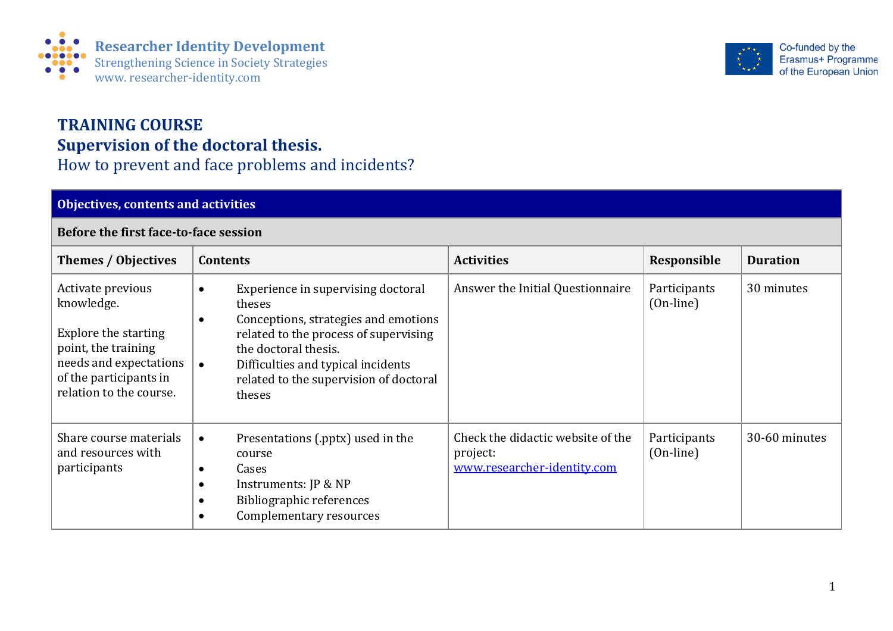

## **TRAINING COURSE Supervision of the doctoral thesis.**  How to prevent and face problems and incidents?

## **Objectives, contents and activities Before the first face-to-face session Themes** / Objectives | Contents *Contents* **Responsible 1** Duration Activate previous knowledge. Explore the starting point, the training needs and expectations of the participants in relation to the course. • Experience in supervising doctoral theses • Conceptions, strategies and emotions related to the process of supervising the doctoral thesis. • Difficulties and typical incidents related to the supervision of doctoral theses Answer the Initial Questionnaire  $\|$  Participants (On-line) 30 minutes Share course materials and resources with participants • Presentations (.pptx) used in the course • Cases • Instruments: JP & NP • Bibliographic references • Complementary resources Check the didactic website of the project: [www.researcher-identity.com](http://www.researcher-identity.com/) **Participants** (On-line) 30-60 minutes

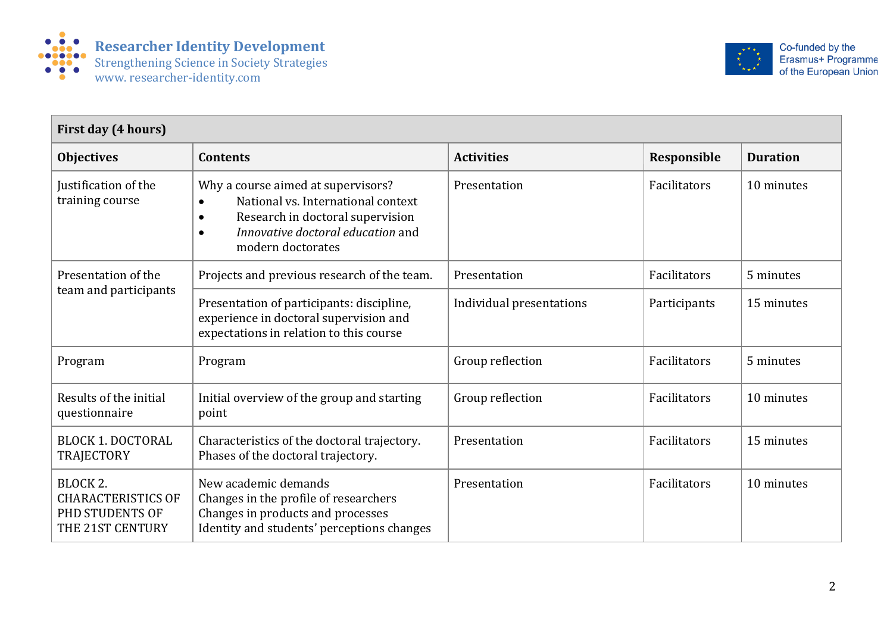



| First day (4 hours)                                                          |                                                                                                                                                                                                  |                          |              |                 |
|------------------------------------------------------------------------------|--------------------------------------------------------------------------------------------------------------------------------------------------------------------------------------------------|--------------------------|--------------|-----------------|
| <b>Objectives</b>                                                            | <b>Contents</b>                                                                                                                                                                                  | <b>Activities</b>        | Responsible  | <b>Duration</b> |
| Justification of the<br>training course                                      | Why a course aimed at supervisors?<br>National vs. International context<br>Research in doctoral supervision<br>$\bullet$<br>Innovative doctoral education and<br>$\bullet$<br>modern doctorates | Presentation             | Facilitators | 10 minutes      |
| Presentation of the<br>team and participants                                 | Projects and previous research of the team.                                                                                                                                                      | Presentation             | Facilitators | 5 minutes       |
|                                                                              | Presentation of participants: discipline,<br>experience in doctoral supervision and<br>expectations in relation to this course                                                                   | Individual presentations | Participants | 15 minutes      |
| Program                                                                      | Program                                                                                                                                                                                          | Group reflection         | Facilitators | 5 minutes       |
| Results of the initial<br>questionnaire                                      | Initial overview of the group and starting<br>point                                                                                                                                              | Group reflection         | Facilitators | 10 minutes      |
| <b>BLOCK 1. DOCTORAL</b><br><b>TRAJECTORY</b>                                | Characteristics of the doctoral trajectory.<br>Phases of the doctoral trajectory.                                                                                                                | Presentation             | Facilitators | 15 minutes      |
| BLOCK 2.<br><b>CHARACTERISTICS OF</b><br>PHD STUDENTS OF<br>THE 21ST CENTURY | New academic demands<br>Changes in the profile of researchers<br>Changes in products and processes<br>Identity and students' perceptions changes                                                 | Presentation             | Facilitators | 10 minutes      |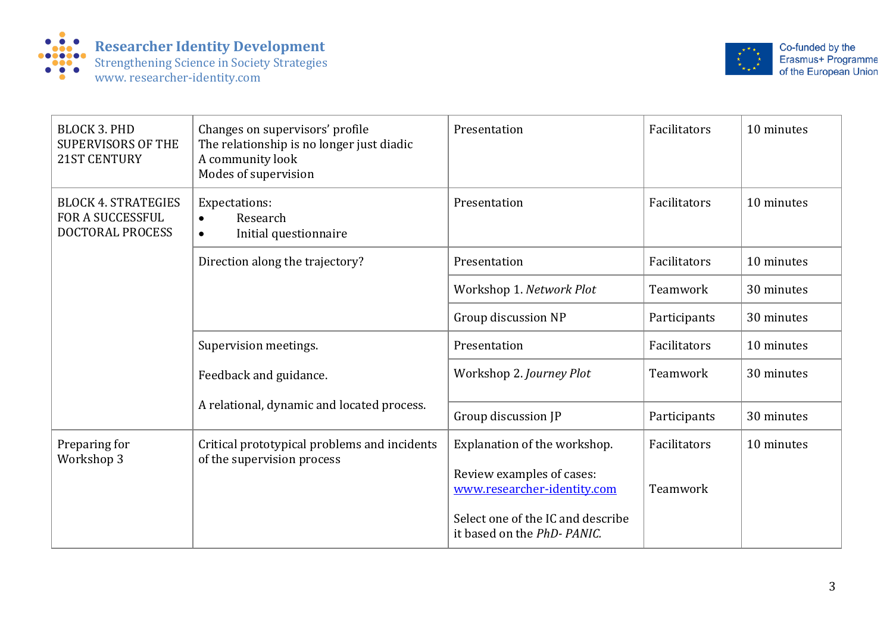



| <b>BLOCK 3. PHD</b><br><b>SUPERVISORS OF THE</b><br>21ST CENTURY          | Changes on supervisors' profile<br>The relationship is no longer just diadic<br>A community look<br>Modes of supervision | Presentation                                                    | Facilitators | 10 minutes |
|---------------------------------------------------------------------------|--------------------------------------------------------------------------------------------------------------------------|-----------------------------------------------------------------|--------------|------------|
| <b>BLOCK 4. STRATEGIES</b><br><b>FOR A SUCCESSFUL</b><br>DOCTORAL PROCESS | Expectations:<br>Research<br>$\bullet$<br>Initial questionnaire<br>$\bullet$                                             | Presentation                                                    | Facilitators | 10 minutes |
|                                                                           | Direction along the trajectory?                                                                                          | Presentation                                                    | Facilitators | 10 minutes |
|                                                                           |                                                                                                                          | Workshop 1. Network Plot                                        | Teamwork     | 30 minutes |
|                                                                           |                                                                                                                          | Group discussion NP                                             | Participants | 30 minutes |
|                                                                           | Supervision meetings.                                                                                                    | Presentation                                                    | Facilitators | 10 minutes |
|                                                                           | Feedback and guidance.<br>A relational, dynamic and located process.                                                     | Workshop 2. Journey Plot                                        | Teamwork     | 30 minutes |
|                                                                           |                                                                                                                          | Group discussion JP                                             | Participants | 30 minutes |
| Preparing for<br>Workshop 3                                               | Critical prototypical problems and incidents<br>of the supervision process                                               | Explanation of the workshop.                                    | Facilitators | 10 minutes |
|                                                                           |                                                                                                                          | Review examples of cases:<br>www.researcher-identity.com        | Teamwork     |            |
|                                                                           |                                                                                                                          | Select one of the IC and describe<br>it based on the PhD-PANIC. |              |            |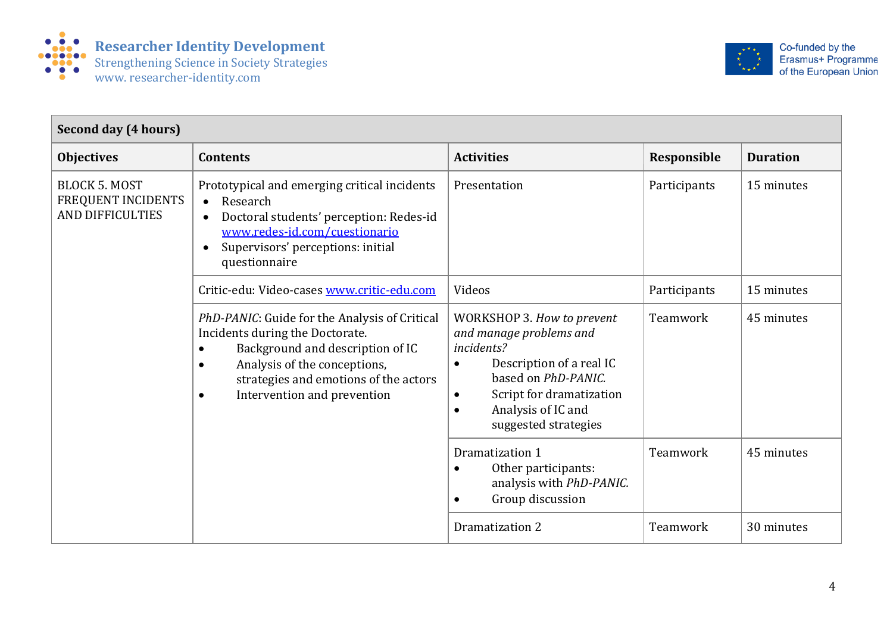



| Second day (4 hours)                                                  |                                                                                                                                                                                                                                                                     |                                                                                                                                                                                                                                         |              |                 |  |
|-----------------------------------------------------------------------|---------------------------------------------------------------------------------------------------------------------------------------------------------------------------------------------------------------------------------------------------------------------|-----------------------------------------------------------------------------------------------------------------------------------------------------------------------------------------------------------------------------------------|--------------|-----------------|--|
| <b>Objectives</b>                                                     | <b>Contents</b>                                                                                                                                                                                                                                                     | <b>Activities</b>                                                                                                                                                                                                                       | Responsible  | <b>Duration</b> |  |
| <b>BLOCK 5. MOST</b><br>FREQUENT INCIDENTS<br><b>AND DIFFICULTIES</b> | Prototypical and emerging critical incidents<br>Research<br>$\bullet$<br>Doctoral students' perception: Redes-id<br>$\bullet$<br>www.redes-id.com/cuestionario<br>Supervisors' perceptions: initial<br>$\bullet$<br>questionnaire                                   | Presentation                                                                                                                                                                                                                            | Participants | 15 minutes      |  |
|                                                                       | Critic-edu: Video-cases www.critic-edu.com                                                                                                                                                                                                                          | Videos                                                                                                                                                                                                                                  | Participants | 15 minutes      |  |
|                                                                       | PhD-PANIC: Guide for the Analysis of Critical<br>Incidents during the Doctorate.<br>Background and description of IC<br>$\bullet$<br>Analysis of the conceptions,<br>$\bullet$<br>strategies and emotions of the actors<br>Intervention and prevention<br>$\bullet$ | WORKSHOP 3. How to prevent<br>and manage problems and<br>incidents?<br>Description of a real IC<br>$\bullet$<br>based on PhD-PANIC.<br>Script for dramatization<br>$\bullet$<br>Analysis of IC and<br>$\bullet$<br>suggested strategies | Teamwork     | 45 minutes      |  |
|                                                                       |                                                                                                                                                                                                                                                                     | Dramatization 1<br>Other participants:<br>$\bullet$<br>analysis with PhD-PANIC.<br>Group discussion<br>$\bullet$                                                                                                                        | Teamwork     | 45 minutes      |  |
|                                                                       |                                                                                                                                                                                                                                                                     | Dramatization 2                                                                                                                                                                                                                         | Teamwork     | 30 minutes      |  |